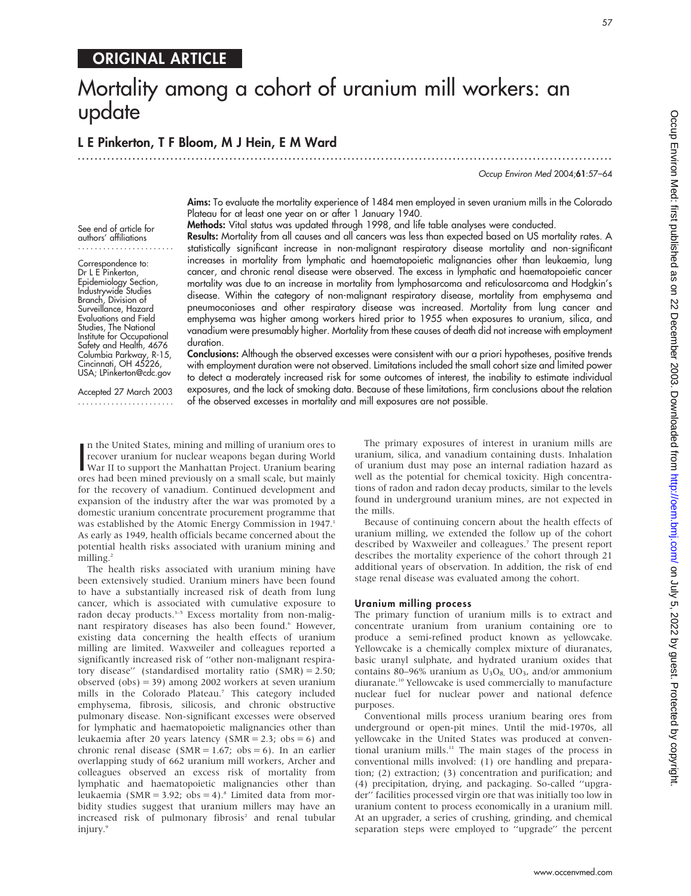## ORIGINAL ARTICLE

# Mortality among a cohort of uranium mill workers: an update

## L E Pinkerton, T F Bloom, M J Hein, E M Ward

.............................................................................................................................. .

Occup Environ Med 2004;61:57–64

Aims: To evaluate the mortality experience of 1484 men employed in seven uranium mills in the Colorado Plateau for at least one year on or after 1 January 1940. Methods: Vital status was updated through 1998, and life table analyses were conducted.

Results: Mortality from all causes and all cancers was less than expected based on US mortality rates. A

See end of article for authors' affiliations .......................

Correspondence to: Dr L E Pinkerton, Epidemiology Section, Industrywide Studies Branch, Division of Surveillance, Hazard Evaluations and Field Studies, The National Institute for Occupational Safety and Health, 4676 Columbia Parkway, R-15, Cincinnati, OH 45226, USA; LPinkerton@cdc.gov

statistically significant increase in non-malignant respiratory disease mortality and non-significant increases in mortality from lymphatic and haematopoietic malignancies other than leukaemia, lung cancer, and chronic renal disease were observed. The excess in lymphatic and haematopoietic cancer mortality was due to an increase in mortality from lymphosarcoma and reticulosarcoma and Hodgkin's disease. Within the category of non-malignant respiratory disease, mortality from emphysema and pneumoconioses and other respiratory disease was increased. Mortality from lung cancer and emphysema was higher among workers hired prior to 1955 when exposures to uranium, silica, and vanadium were presumably higher. Mortality from these causes of death did not increase with employment duration.

Conclusions: Although the observed excesses were consistent with our a priori hypotheses, positive trends with employment duration were not observed. Limitations included the small cohort size and limited power to detect a moderately increased risk for some outcomes of interest, the inability to estimate individual exposures, and the lack of smoking data. Because of these limitations, firm conclusions about the relation of the observed excesses in mortality and mill exposures are not possible.

Accepted 27 March 2003 .......................

In the United States, mining and milling of uranium ores to<br>recover uranium for nuclear weapons began during World<br>War II to support the Manhattan Project. Uranium bearing<br>ores had been mined previously on a small scale, b n the United States, mining and milling of uranium ores to recover uranium for nuclear weapons began during World ores had been mined previously on a small scale, but mainly for the recovery of vanadium. Continued development and expansion of the industry after the war was promoted by a domestic uranium concentrate procurement programme that was established by the Atomic Energy Commission in 1947.<sup>1</sup> As early as 1949, health officials became concerned about the potential health risks associated with uranium mining and milling.2

The health risks associated with uranium mining have been extensively studied. Uranium miners have been found to have a substantially increased risk of death from lung cancer, which is associated with cumulative exposure to radon decay products.<sup>3-5</sup> Excess mortality from non-malignant respiratory diseases has also been found.<sup>6</sup> However, existing data concerning the health effects of uranium milling are limited. Waxweiler and colleagues reported a significantly increased risk of ''other non-malignant respiratory disease'' (standardised mortality ratio (SMR) = 2.50; observed (obs) = 39) among 2002 workers at seven uranium mills in the Colorado Plateau.7 This category included emphysema, fibrosis, silicosis, and chronic obstructive pulmonary disease. Non-significant excesses were observed for lymphatic and haematopoietic malignancies other than leukaemia after 20 years latency (SMR = 2.3; obs = 6) and chronic renal disease ( $SMR = 1.67$ ; obs = 6). In an earlier overlapping study of 662 uranium mill workers, Archer and colleagues observed an excess risk of mortality from lymphatic and haematopoietic malignancies other than leukaemia (SMR = 3.92; obs = 4).<sup>8</sup> Limited data from morbidity studies suggest that uranium millers may have an increased risk of pulmonary fibrosis<sup>2</sup> and renal tubular injury.9

The primary exposures of interest in uranium mills are uranium, silica, and vanadium containing dusts. Inhalation of uranium dust may pose an internal radiation hazard as well as the potential for chemical toxicity. High concentrations of radon and radon decay products, similar to the levels found in underground uranium mines, are not expected in the mills.

Because of continuing concern about the health effects of uranium milling, we extended the follow up of the cohort described by Waxweiler and colleagues.<sup>7</sup> The present report describes the mortality experience of the cohort through 21 additional years of observation. In addition, the risk of end stage renal disease was evaluated among the cohort.

#### Uranium milling process

The primary function of uranium mills is to extract and concentrate uranium from uranium containing ore to produce a semi-refined product known as yellowcake. Yellowcake is a chemically complex mixture of diuranates, basic uranyl sulphate, and hydrated uranium oxides that contains 80–96% uranium as  $U_3O_8$ ,  $UO_3$ , and/or ammonium diuranate.10 Yellowcake is used commercially to manufacture nuclear fuel for nuclear power and national defence purposes.

Conventional mills process uranium bearing ores from underground or open-pit mines. Until the mid-1970s, all yellowcake in the United States was produced at conventional uranium mills.11 The main stages of the process in conventional mills involved: (1) ore handling and preparation; (2) extraction; (3) concentration and purification; and (4) precipitation, drying, and packaging. So-called ''upgrader'' facilities processed virgin ore that was initially too low in uranium content to process economically in a uranium mill. At an upgrader, a series of crushing, grinding, and chemical separation steps were employed to ''upgrade'' the percent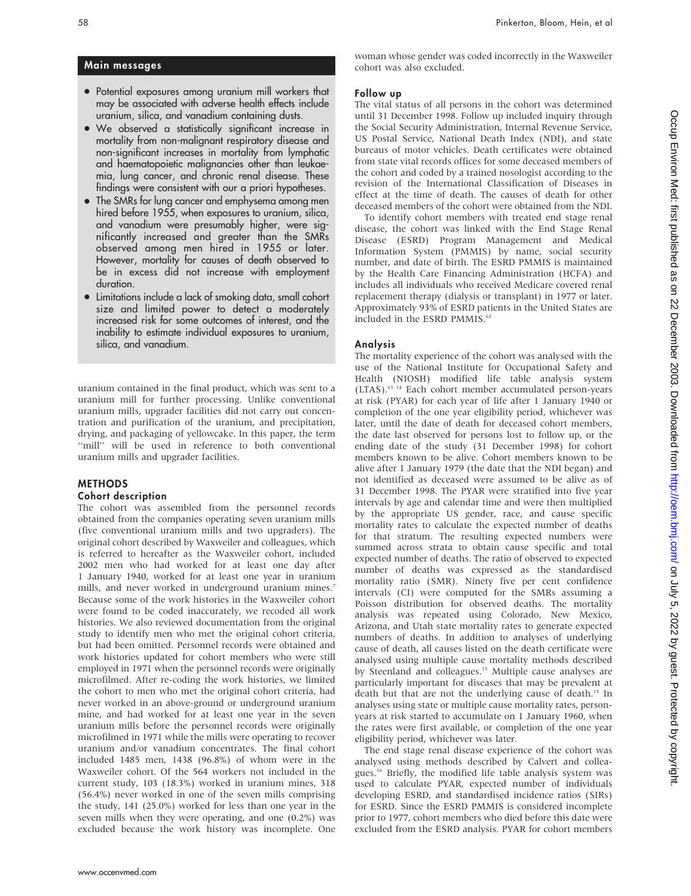### Main messages

- Potential exposures among uranium mill workers that may be associated with adverse health effects include uranium, silica, and vanadium containing dusts.
- N We observed a statistically significant increase in mortality from non-malignant respiratory disease and non-significant increases in mortality from lymphatic and haematopoietic malignancies other than leukaemia, lung cancer, and chronic renal disease. These findings were consistent with our a priori hypotheses.
- The SMRs for lung cancer and emphysema among men hired before 1955, when exposures to uranium, silica, and vanadium were presumably higher, were significantly increased and greater than the SMRs observed among men hired in 1955 or later. However, mortality for causes of death observed to be in excess did not increase with employment duration.
- Limitations include a lack of smoking data, small cohort size and limited power to detect a moderately increased risk for some outcomes of interest, and the inability to estimate individual exposures to uranium, silica, and vanadium.

uranium contained in the final product, which was sent to a uranium mill for further processing. Unlike conventional uranium mills, upgrader facilities did not carry out concentration and purification of the uranium, and precipitation, drying, and packaging of yellowcake. In this paper, the term "mill" will be used in reference to both conventional uranium mills and upgrader facilities.

## METHODS

### Cohort description

The cohort was assembled from the personnel records obtained from the companies operating seven uranium mills (five conventional uranium mills and two upgraders). The original cohort described by Waxweiler and colleagues, which is referred to hereafter as the Waxweiler cohort, included 2002 men who had worked for at least one day after 1 January 1940, worked for at least one year in uranium mills, and never worked in underground uranium mines.<sup>7</sup> Because some of the work histories in the Waxweiler cohort were found to be coded inaccurately, we recoded all work histories. We also reviewed documentation from the original study to identify men who met the original cohort criteria, but had been omitted. Personnel records were obtained and work histories updated for cohort members who were still employed in 1971 when the personnel records were originally microfilmed. After re-coding the work histories, we limited the cohort to men who met the original cohort criteria, had never worked in an above-ground or underground uranium mine, and had worked for at least one year in the seven uranium mills before the personnel records were originally microfilmed in 1971 while the mills were operating to recover uranium and/or vanadium concentrates. The final cohort included 1485 men, 1438 (96.8%) of whom were in the Waxweiler cohort. Of the 564 workers not included in the current study, 103 (18.3%) worked in uranium mines, 318 (56.4%) never worked in one of the seven mills comprising the study, 141 (25.0%) worked for less than one year in the seven mills when they were operating, and one (0.2%) was excluded because the work history was incomplete. One woman whose gender was coded incorrectly in the Waxweiler cohort was also excluded.

#### Follow up

The vital status of all persons in the cohort was determined until 31 December 1998. Follow up included inquiry through the Social Security Administration, Internal Revenue Service, US Postal Service, National Death Index (NDI), and state bureaus of motor vehicles. Death certificates were obtained from state vital records offices for some deceased members of the cohort and coded by a trained nosologist according to the revision of the International Classification of Diseases in effect at the time of death. The causes of death for other deceased members of the cohort were obtained from the NDI.

To identify cohort members with treated end stage renal disease, the cohort was linked with the End Stage Renal Disease (ESRD) Program Management and Medical Information System (PMMIS) by name, social security number, and date of birth. The ESRD PMMIS is maintained by the Health Care Financing Administration (HCFA) and includes all individuals who received Medicare covered renal replacement therapy (dialysis or transplant) in 1977 or later. Approximately 93% of ESRD patients in the United States are included in the ESRD PMMIS.<sup>12</sup>

#### Analysis

The mortality experience of the cohort was analysed with the use of the National Institute for Occupational Safety and Health (NIOSH) modified life table analysis system (LTAS).13 14 Each cohort member accumulated person-years at risk (PYAR) for each year of life after 1 January 1940 or completion of the one year eligibility period, whichever was later, until the date of death for deceased cohort members, the date last observed for persons lost to follow up, or the ending date of the study (31 December 1998) for cohort members known to be alive. Cohort members known to be alive after 1 January 1979 (the date that the NDI began) and not identified as deceased were assumed to be alive as of 31 December 1998. The PYAR were stratified into five year intervals by age and calendar time and were then multiplied by the appropriate US gender, race, and cause specific mortality rates to calculate the expected number of deaths for that stratum. The resulting expected numbers were summed across strata to obtain cause specific and total expected number of deaths. The ratio of observed to expected number of deaths was expressed as the standardised mortality ratio (SMR). Ninety five per cent confidence intervals (CI) were computed for the SMRs assuming a Poisson distribution for observed deaths. The mortality analysis was repeated using Colorado, New Mexico, Arizona, and Utah state mortality rates to generate expected numbers of deaths. In addition to analyses of underlying cause of death, all causes listed on the death certificate were analysed using multiple cause mortality methods described by Steenland and colleagues.<sup>15</sup> Multiple cause analyses are particularly important for diseases that may be prevalent at death but that are not the underlying cause of death.<sup>15</sup> In analyses using state or multiple cause mortality rates, personyears at risk started to accumulate on 1 January 1960, when the rates were first available, or completion of the one year eligibility period, whichever was later.

The end stage renal disease experience of the cohort was analysed using methods described by Calvert and colleagues.16 Briefly, the modified life table analysis system was used to calculate PYAR, expected number of individuals developing ESRD, and standardised incidence ratios (SIRs) for ESRD. Since the ESRD PMMIS is considered incomplete prior to 1977, cohort members who died before this date were excluded from the ESRD analysis. PYAR for cohort members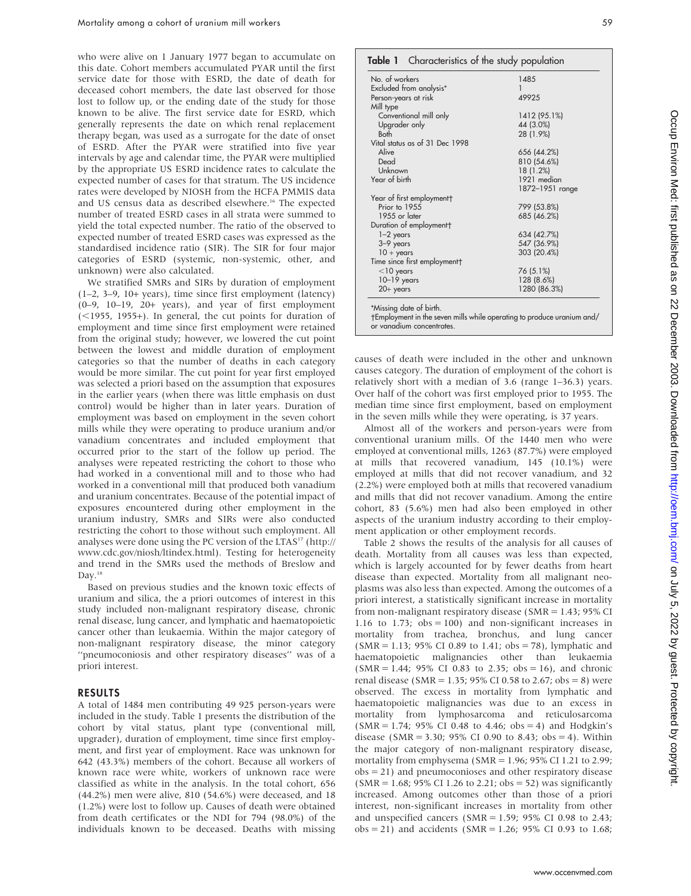who were alive on 1 January 1977 began to accumulate on this date. Cohort members accumulated PYAR until the first service date for those with ESRD, the date of death for deceased cohort members, the date last observed for those lost to follow up, or the ending date of the study for those known to be alive. The first service date for ESRD, which generally represents the date on which renal replacement therapy began, was used as a surrogate for the date of onset of ESRD. After the PYAR were stratified into five year intervals by age and calendar time, the PYAR were multiplied by the appropriate US ESRD incidence rates to calculate the expected number of cases for that stratum. The US incidence rates were developed by NIOSH from the HCFA PMMIS data and US census data as described elsewhere.<sup>16</sup> The expected number of treated ESRD cases in all strata were summed to yield the total expected number. The ratio of the observed to expected number of treated ESRD cases was expressed as the standardised incidence ratio (SIR). The SIR for four major categories of ESRD (systemic, non-systemic, other, and unknown) were also calculated.

We stratified SMRs and SIRs by duration of employment (1–2, 3–9, 10+ years), time since first employment (latency) (0–9, 10–19, 20+ years), and year of first employment  $(<1955, 1955+)$ . In general, the cut points for duration of employment and time since first employment were retained from the original study; however, we lowered the cut point between the lowest and middle duration of employment categories so that the number of deaths in each category would be more similar. The cut point for year first employed was selected a priori based on the assumption that exposures in the earlier years (when there was little emphasis on dust control) would be higher than in later years. Duration of employment was based on employment in the seven cohort mills while they were operating to produce uranium and/or vanadium concentrates and included employment that occurred prior to the start of the follow up period. The analyses were repeated restricting the cohort to those who had worked in a conventional mill and to those who had worked in a conventional mill that produced both vanadium and uranium concentrates. Because of the potential impact of exposures encountered during other employment in the uranium industry, SMRs and SIRs were also conducted restricting the cohort to those without such employment. All analyses were done using the PC version of the LTAS<sup>17</sup> (http:// www.cdc.gov/niosh/ltindex.html). Testing for heterogeneity and trend in the SMRs used the methods of Breslow and Day.<sup>18</sup>

Based on previous studies and the known toxic effects of uranium and silica, the a priori outcomes of interest in this study included non-malignant respiratory disease, chronic renal disease, lung cancer, and lymphatic and haematopoietic cancer other than leukaemia. Within the major category of non-malignant respiratory disease, the minor category ''pneumoconiosis and other respiratory diseases'' was of a priori interest.

#### RESULTS

A total of 1484 men contributing 49 925 person-years were included in the study. Table 1 presents the distribution of the cohort by vital status, plant type (conventional mill, upgrader), duration of employment, time since first employment, and first year of employment. Race was unknown for 642 (43.3%) members of the cohort. Because all workers of known race were white, workers of unknown race were classified as white in the analysis. In the total cohort, 656 (44.2%) men were alive, 810 (54.6%) were deceased, and 18 (1.2%) were lost to follow up. Causes of death were obtained from death certificates or the NDI for 794 (98.0%) of the individuals known to be deceased. Deaths with missing

## Table 1 Characteristics of the study population

| No. of workers                 | 1485            |
|--------------------------------|-----------------|
| Excluded from analysis*        | 1               |
| Person-years at risk           | 49925           |
| Mill type                      |                 |
| Conventional mill only         | 1412 (95.1%)    |
| Upgrader only                  | 44 (3.0%)       |
| <b>Both</b>                    | 28 (1.9%)       |
| Vital status as of 31 Dec 1998 |                 |
| Alive                          | 656 (44.2%)     |
| Dead                           | 810 (54.6%)     |
| Unknown                        | 18 (1.2%)       |
| Year of birth                  | 1921 median     |
|                                | 1872-1951 range |
| Year of first employment†      |                 |
| Prior to 1955                  | 799 (53.8%)     |
| 1955 or later                  | 685 (46.2%)     |
| Duration of employment†        |                 |
| $1-2$ years                    | 634 (42.7%)     |
| 3-9 years                      | 547 (36.9%)     |
| $10 + \text{years}$            | 303 (20.4%)     |
| Time since first employment†   |                 |
| $<$ 10 years                   | 76 (5.1%)       |
| $10-19$ years                  | 128 (8.6%)      |
| $20+$ years                    | 1280 (86.3%)    |

-Employment in the seven mills while operating to produce uranium and/ or vanadium concentrates.

causes of death were included in the other and unknown causes category. The duration of employment of the cohort is relatively short with a median of 3.6 (range 1–36.3) years. Over half of the cohort was first employed prior to 1955. The median time since first employment, based on employment in the seven mills while they were operating, is 37 years.

Almost all of the workers and person-years were from conventional uranium mills. Of the 1440 men who were employed at conventional mills, 1263 (87.7%) were employed at mills that recovered vanadium, 145 (10.1%) were employed at mills that did not recover vanadium, and 32 (2.2%) were employed both at mills that recovered vanadium and mills that did not recover vanadium. Among the entire cohort, 83 (5.6%) men had also been employed in other aspects of the uranium industry according to their employment application or other employment records.

Table 2 shows the results of the analysis for all causes of death. Mortality from all causes was less than expected, which is largely accounted for by fewer deaths from heart disease than expected. Mortality from all malignant neoplasms was also less than expected. Among the outcomes of a priori interest, a statistically significant increase in mortality from non-malignant respiratory disease (SMR = 1.43; 95% CI 1.16 to 1.73;  $obs = 100$ ) and non-significant increases in mortality from trachea, bronchus, and lung cancer  $(SMR = 1.13; 95\% CI 0.89$  to 1.41; obs = 78), lymphatic and haematopoietic malignancies other than leukaemia  $(SMR = 1.44; 95\% \text{ CI } 0.83 \text{ to } 2.35; \text{obs} = 16)$ , and chronic renal disease (SMR = 1.35; 95% CI 0.58 to 2.67; obs = 8) were observed. The excess in mortality from lymphatic and haematopoietic malignancies was due to an excess in mortality from lymphosarcoma and reticulosarcoma  $(SMR = 1.74; 95\% \text{ CI } 0.48 \text{ to } 4.46; \text{obs} = 4) \text{ and Hodgkin's}$ disease (SMR = 3.30; 95% CI 0.90 to 8.43; obs = 4). Within the major category of non-malignant respiratory disease, mortality from emphysema (SMR = 1.96; 95% CI 1.21 to 2.99; obs = 21) and pneumoconioses and other respiratory disease  $(SMR = 1.68; 95\% \text{ CI } 1.26 \text{ to } 2.21; \text{ obs} = 52)$  was significantly increased. Among outcomes other than those of a priori interest, non-significant increases in mortality from other and unspecified cancers ( $SMR = 1.59$ ;  $95\%$  CI 0.98 to 2.43;  $obs = 21$ ) and accidents (SMR = 1.26; 95% CI 0.93 to 1.68;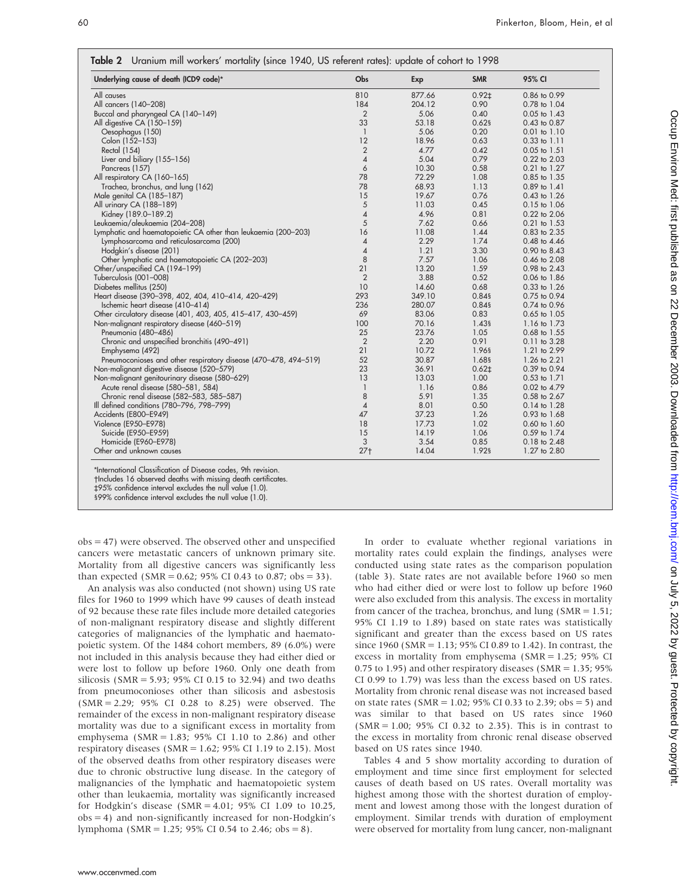| Underlying cause of death (ICD9 code)*                                                                       | Obs            | Exp    | <b>SMR</b> | 95% CI           |
|--------------------------------------------------------------------------------------------------------------|----------------|--------|------------|------------------|
| All causes                                                                                                   | 810            | 877.66 | $0.92+$    | 0.86 to 0.99     |
| All cancers (140-208)                                                                                        | 184            | 204.12 | 0.90       | 0.78 to 1.04     |
| Buccal and pharyngeal CA (140-149)                                                                           | 2              | 5.06   | 0.40       | $0.05$ to 1.43   |
| All digestive CA (150-159)                                                                                   | 33             | 53.18  | $0.62$ §   | $0.43$ to $0.87$ |
| Oesophagus (150)                                                                                             | $\mathbf{1}$   | 5.06   | 0.20       | $0.01$ to $1.10$ |
| Colon (152-153)                                                                                              | 12             | 18.96  | 0.63       | $0.33$ to $1.11$ |
| Rectal (154)                                                                                                 | $\overline{2}$ | 4.77   | 0.42       | 0.05 to 1.51     |
| Liver and biliary (155–156)                                                                                  | $\overline{4}$ | 5.04   | 0.79       | 0.22 to 2.03     |
| Pancreas (157)                                                                                               | 6              | 10.30  | 0.58       | 0.21 to 1.27     |
| All respiratory CA (160-165)                                                                                 | 78             | 72.29  | 1.08       | 0.85 to 1.35     |
| Trachea, bronchus, and lung (162)                                                                            | 78             | 68.93  | 1.13       | 0.89 to 1.41     |
| Male genital CA (185-187)                                                                                    | 15             | 19.67  | 0.76       | 0.43 to 1.26     |
| All urinary CA (188-189)                                                                                     | 5              | 11.03  | 0.45       | $0.15$ to $1.06$ |
| Kidney (189.0-189.2)                                                                                         | 4              | 4.96   | 0.81       | 0.22 to 2.06     |
| Leukaemia/aleukaemia (204-208)                                                                               | 5              | 7.62   | 0.66       | 0.21 to 1.53     |
| Lymphatic and haematopoietic CA other than leukaemia (200–203)                                               | 16             | 11.08  | 1.44       | 0.83 to 2.35     |
| Lymphosarcoma and reticulosarcoma (200)                                                                      | 4              | 2.29   | 1.74       | 0.48 to 4.46     |
| Hodgkin's disease (201)                                                                                      | 4              | 1.21   | 3.30       | 0.90 to 8.43     |
| Other lymphatic and haematopoietic CA (202-203)                                                              | 8              | 7.57   | 1.06       | 0.46 to 2.08     |
| Other/unspecified CA (194-199)                                                                               | 21             | 13.20  | 1.59       | 0.98 to 2.43     |
| Tuberculosis (001-008)                                                                                       | $\overline{2}$ | 3.88   | 0.52       | $0.06$ to $1.86$ |
| Diabetes mellitus (250)                                                                                      | 10             | 14.60  | 0.68       | 0.33 to 1.26     |
| Heart disease (390-398, 402, 404, 410-414, 420-429)                                                          | 293            | 349.10 | 0.849      | 0.75 to 0.94     |
| Ischemic heart disease (410-414)                                                                             | 236            | 280.07 | 0.84§      | 0.74 to 0.96     |
| Other circulatory disease (401, 403, 405, 415-417, 430-459)                                                  | 69             | 83.06  | 0.83       | 0.65 to 1.05     |
| Non-malignant respiratory disease (460-519)                                                                  | 100            | 70.16  | 1.439      | 1.16 to 1.73     |
| Pneumonia (480-486)                                                                                          | 25             | 23.76  | 1.05       | 0.68 to 1.55     |
| Chronic and unspecified bronchitis (490-491)                                                                 | $\overline{2}$ | 2.20   | 0.91       | 0.11 to 3.28     |
| Emphysema (492)                                                                                              | 21             | 10.72  | 1.96§      | 1.21 to 2.99     |
|                                                                                                              | 52             | 30.87  | 1.68§      | 1.26 to 2.21     |
| Pneumoconioses and other respiratory disease (470-478, 494-519)<br>Non-malignant digestive disease (520-579) | 23             | 36.91  | $0.62+$    | 0.39 to 0.94     |
|                                                                                                              | 13             | 13.03  | 1.00       |                  |
| Non-malignant genitourinary disease (580-629)                                                                |                | 1.16   | 0.86       | 0.53 to 1.71     |
| Acute renal disease (580-581, 584)                                                                           | $\mathbf{1}$   |        |            | 0.02 to 4.79     |
| Chronic renal disease (582-583, 585-587)                                                                     | 8              | 5.91   | 1.35       | 0.58 to 2.67     |
| Ill defined conditions (780–796, 798–799)                                                                    | $\pmb{4}$      | 8.01   | 0.50       | 0.14 to 1.28     |
| Accidents (E800-E949)                                                                                        | 47             | 37.23  | 1.26       | 0.93 to 1.68     |
| Violence (E950-E978)                                                                                         | 18             | 17.73  | 1.02       | $0.60$ to $1.60$ |
| Suicide (E950-E959)                                                                                          | 15             | 14.19  | 1.06       | 0.59 to 1.74     |
| Homicide (E960-E978)                                                                                         | 3              | 3.54   | 0.85       | $0.18$ to $2.48$ |
| Other and unknown causes                                                                                     | $27+$          | 14.04  | 1.92§      | 1.27 to 2.80     |

\*International Classification of Disease codes, 9th revision.

-Includes 16 observed deaths with missing death certificates. `95% confidence interval excludes the null value (1.0).

199% confidence interval excludes the null value (1.0).

obs = 47) were observed. The observed other and unspecified cancers were metastatic cancers of unknown primary site. Mortality from all digestive cancers was significantly less than expected (SMR =  $0.62$ ; 95% CI 0.43 to 0.87; obs = 33).

An analysis was also conducted (not shown) using US rate files for 1960 to 1999 which have 99 causes of death instead of 92 because these rate files include more detailed categories of non-malignant respiratory disease and slightly different categories of malignancies of the lymphatic and haematopoietic system. Of the 1484 cohort members, 89 (6.0%) were not included in this analysis because they had either died or were lost to follow up before 1960. Only one death from silicosis (SMR = 5.93; 95% CI 0.15 to 32.94) and two deaths from pneumoconioses other than silicosis and asbestosis (SMR = 2.29; 95% CI 0.28 to 8.25) were observed. The remainder of the excess in non-malignant respiratory disease mortality was due to a significant excess in mortality from emphysema (SMR = 1.83; 95% CI 1.10 to 2.86) and other respiratory diseases (SMR =  $1.62$ ; 95% CI 1.19 to 2.15). Most of the observed deaths from other respiratory diseases were due to chronic obstructive lung disease. In the category of malignancies of the lymphatic and haematopoietic system other than leukaemia, mortality was significantly increased for Hodgkin's disease (SMR = 4.01; 95% CI 1.09 to 10.25,  $obs = 4$ ) and non-significantly increased for non-Hodgkin's lymphoma (SMR = 1.25; 95% CI 0.54 to 2.46; obs = 8).

In order to evaluate whether regional variations in mortality rates could explain the findings, analyses were conducted using state rates as the comparison population (table 3). State rates are not available before 1960 so men who had either died or were lost to follow up before 1960 were also excluded from this analysis. The excess in mortality from cancer of the trachea, bronchus, and lung (SMR = 1.51; 95% CI 1.19 to 1.89) based on state rates was statistically significant and greater than the excess based on US rates since 1960 (SMR = 1.13; 95% CI 0.89 to 1.42). In contrast, the excess in mortality from emphysema (SMR = 1.25; 95% CI 0.75 to 1.95) and other respiratory diseases (SMR = 1.35; 95% CI 0.99 to 1.79) was less than the excess based on US rates. Mortality from chronic renal disease was not increased based on state rates ( $SMR = 1.02$ ;  $95\%$  CI 0.33 to 2.39; obs = 5) and was similar to that based on US rates since 1960 (SMR = 1.00; 95% CI 0.32 to 2.35). This is in contrast to the excess in mortality from chronic renal disease observed based on US rates since 1940.

Tables 4 and 5 show mortality according to duration of employment and time since first employment for selected causes of death based on US rates. Overall mortality was highest among those with the shortest duration of employment and lowest among those with the longest duration of employment. Similar trends with duration of employment were observed for mortality from lung cancer, non-malignant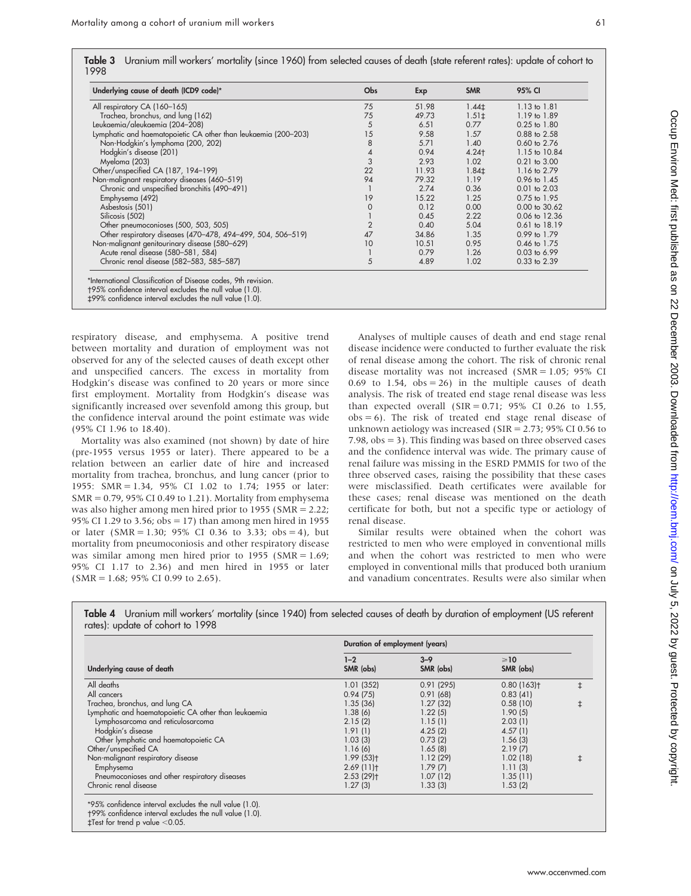| Underlying cause of death (ICD9 code)*                         | <b>Obs</b>  | Exp   | <b>SMR</b> | 95% CI            |  |
|----------------------------------------------------------------|-------------|-------|------------|-------------------|--|
| All respiratory CA (160-165)                                   | 75          | 51.98 | $1.44 \pm$ | $1.13$ to $1.81$  |  |
| Trachea, bronchus, and lung (162)                              | 75          | 49.73 | $1.51 \pm$ | 1.19 to 1.89      |  |
| Leukaemia/aleukaemia (204-208)                                 | 5           | 6.51  | 0.77       | $0.25$ to $1.80$  |  |
| Lymphatic and haematopoietic CA other than leukaemia (200-203) | 15          | 9.58  | 1.57       | 0.88 to 2.58      |  |
| Non-Hodgkin's lymphoma (200, 202)                              | 8           | 5.71  | 1.40       | 0.60 to 2.76      |  |
| Hodgkin's disease (201)                                        | 4           | 0.94  | 4.24       | 1.15 to 10.84     |  |
| Myeloma (203)                                                  | 3           | 2.93  | 1.02       | $0.21$ to $3.00$  |  |
| Other/unspecified CA (187, 194-199)                            | 22          | 11.93 | $1.84+$    | 1.16 to 2.79      |  |
| Non-malignant respiratory diseases (460-519)                   | 94          | 79.32 | 1.19       | 0.96 to 1.45      |  |
| Chronic and unspecified bronchitis (490-491)                   |             | 2.74  | 0.36       | $0.01$ to $2.03$  |  |
| Emphysema (492)                                                | 19          | 15.22 | 1.25       | 0.75 to 1.95      |  |
| Asbestosis (501)                                               | $\mathbf 0$ | 0.12  | 0.00       | 0.00 to 30.62     |  |
| Silicosis (502)                                                |             | 0.45  | 2.22       | 0.06 to 12.36     |  |
| Other pneumoconioses (500, 503, 505)                           | 2           | 0.40  | 5.04       | $0.61$ to $18.19$ |  |
| Other respiratory diseases (470-478, 494-499, 504, 506-519)    | 47          | 34.86 | 1.35       | 0.99 to 1.79      |  |
| Non-malignant genitourinary disease (580-629)                  | 10          | 10.51 | 0.95       | 0.46 to 1.75      |  |
| Acute renal disease (580-581, 584)                             |             | 0.79  | 1.26       | 0.03 to 6.99      |  |
| Chronic renal disease (582-583, 585-587)                       | 5           | 4.89  | 1.02       | 0.33 to 2.39      |  |

-95% confidence interval excludes the null value (1.0). `99% confidence interval excludes the null value (1.0).

respiratory disease, and emphysema. A positive trend between mortality and duration of employment was not observed for any of the selected causes of death except other and unspecified cancers. The excess in mortality from Hodgkin's disease was confined to 20 years or more since first employment. Mortality from Hodgkin's disease was significantly increased over sevenfold among this group, but the confidence interval around the point estimate was wide (95% CI 1.96 to 18.40).

Mortality was also examined (not shown) by date of hire (pre-1955 versus 1955 or later). There appeared to be a relation between an earlier date of hire and increased mortality from trachea, bronchus, and lung cancer (prior to 1955: SMR = 1.34, 95% CI 1.02 to 1.74; 1955 or later:  $SMR = 0.79$ , 95% CI 0.49 to 1.21). Mortality from emphysema was also higher among men hired prior to 1955 (SMR = 2.22; 95% CI 1.29 to 3.56; obs = 17) than among men hired in 1955 or later (SMR = 1.30; 95% CI 0.36 to 3.33; obs = 4), but mortality from pneumoconiosis and other respiratory disease was similar among men hired prior to 1955 (SMR = 1.69; 95% CI 1.17 to 2.36) and men hired in 1955 or later  $(SMR = 1.68; 95\% \text{ CI } 0.99 \text{ to } 2.65).$ 

Analyses of multiple causes of death and end stage renal disease incidence were conducted to further evaluate the risk of renal disease among the cohort. The risk of chronic renal disease mortality was not increased (SMR = 1.05; 95% CI 0.69 to 1.54,  $obs = 26$ ) in the multiple causes of death analysis. The risk of treated end stage renal disease was less than expected overall  $(SIR = 0.71; 95\% \text{ CI} 0.26 \text{ to } 1.55,$  $obs = 6$ ). The risk of treated end stage renal disease of unknown aetiology was increased ( $SIR = 2.73$ ; 95% CI 0.56 to 7.98,  $obs = 3$ ). This finding was based on three observed cases and the confidence interval was wide. The primary cause of renal failure was missing in the ESRD PMMIS for two of the three observed cases, raising the possibility that these cases were misclassified. Death certificates were available for these cases; renal disease was mentioned on the death certificate for both, but not a specific type or aetiology of renal disease.

Similar results were obtained when the cohort was restricted to men who were employed in conventional mills and when the cohort was restricted to men who were employed in conventional mills that produced both uranium and vanadium concentrates. Results were also similar when

|                                                      | Duration of employment (years) |                      |                          |            |  |  |  |
|------------------------------------------------------|--------------------------------|----------------------|--------------------------|------------|--|--|--|
| Underlying cause of death                            | $1 - 2$<br>SMR (obs)           | $3 - 9$<br>SMR (obs) | $\geq 10$<br>SMR (obs)   |            |  |  |  |
| All deaths                                           | 1.01(352)                      | 0.91(295)            | $0.80(163)$ <sup>+</sup> | $\ddagger$ |  |  |  |
| All cancers                                          | 0.94(75)                       | 0.91(68)             | 0.83(41)                 |            |  |  |  |
| Trachea, bronchus, and lung CA                       | 1.35(36)                       | 1.27(32)             | 0.58(10)                 | $\ddagger$ |  |  |  |
| Lymphatic and haematopoietic CA other than leukaemia | 1.38(6)                        | 1.22(5)              | 1.90(5)                  |            |  |  |  |
| Lymphosarcoma and reticulosarcoma                    | 2.15(2)                        | 1.15(1)              | 2.03(1)                  |            |  |  |  |
| Hodgkin's disease                                    | 1.91(1)                        | 4.25(2)              | 4.57(1)                  |            |  |  |  |
| Other lymphatic and haematopoietic CA                | 1.03(3)                        | 0.73(2)              | 1.56(3)                  |            |  |  |  |
| Other/unspecified CA                                 | 1.16(6)                        | 1.65(8)              | 2.19(7)                  |            |  |  |  |
| Non-malignant respiratory disease                    | $1.99(53)$ t                   | 1.12(29)             | 1.02(18)                 | ŧ          |  |  |  |
| Emphysema                                            | 2.69(11)                       | 1.79(7)              | 1.11(3)                  |            |  |  |  |
| Pneumoconioses and other respiratory diseases        | $2.53(29)$ <sup>+</sup>        | 1.07(12)             | 1.35(11)                 |            |  |  |  |
| Chronic renal disease                                | 1.27(3)                        | 1.33(3)              | 1.53(2)                  |            |  |  |  |

Table 4 Uranium mill workers' mortality (since 1940) from selected causes of death by duration of employment (US referent rates): update of cohort to 1998

-99% confidence interval excludes the null value (1.0).

 $\ddagger$ Test for trend p value  $<$  0.05.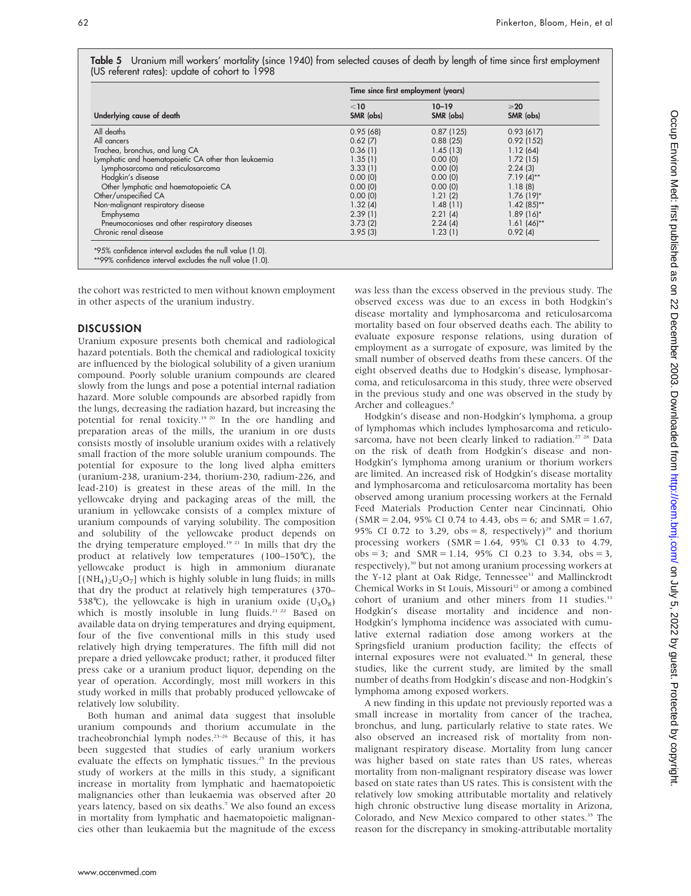| Table 5 Uranium mill workers' mortality (since 1940) from selected causes of death by length of time since first employment |  |  |  |  |  |
|-----------------------------------------------------------------------------------------------------------------------------|--|--|--|--|--|
| (US referent rates): update of cohort to 1998                                                                               |  |  |  |  |  |

|                                                      | Time since first employment (years) |                        |                             |  |  |  |
|------------------------------------------------------|-------------------------------------|------------------------|-----------------------------|--|--|--|
| Underlying cause of death                            | $<$ 10<br>SMR (obs)                 | $10 - 19$<br>SMR (obs) | $\geqslant$ 20<br>SMR (obs) |  |  |  |
| All deaths                                           | 0.95(68)                            | 0.87(125)              | 0.93(617)                   |  |  |  |
| All cancers                                          | 0.62(7)                             | 0.88(25)               | 0.92(152)                   |  |  |  |
| Trachea, bronchus, and lung CA                       | 0.36(1)                             | 1.45(13)               | 1.12(64)                    |  |  |  |
| Lymphatic and haematopoietic CA other than leukaemia | 1.35(1)                             | 0.00(0)                | 1.72(15)                    |  |  |  |
| Lymphosarcoma and reticulosarcoma                    | 3.33(1)                             | 0.00(0)                | 2.24(3)                     |  |  |  |
| Hodgkin's disease                                    | 0.00(0)                             | 0.00(0)                | $7.19(4)**$                 |  |  |  |
| Other lymphatic and haematopoietic CA                | 0.00(0)                             | 0.00(0)                | 1.18(8)                     |  |  |  |
| Other/unspecified CA                                 | 0.00(0)                             | 1.21(2)                | $1.76(19)$ *                |  |  |  |
| Non-malignant respiratory disease                    | 1.32(4)                             | 1.48(11)               | $1.42(85)$ **               |  |  |  |
| Emphysema                                            | 2.39(1)                             | 2.21(4)                | $1.89(16)*$                 |  |  |  |
| Pneumoconioses and other respiratory diseases        | 3.73(2)                             | 2.24(4)                | $1.61 (46)$ <sup>**</sup>   |  |  |  |
| Chronic renal disease                                | 3.95(3)                             | 1.23(1)                | 0.92(4)                     |  |  |  |

the cohort was restricted to men without known employment in other aspects of the uranium industry.

#### **DISCUSSION**

Uranium exposure presents both chemical and radiological hazard potentials. Both the chemical and radiological toxicity are influenced by the biological solubility of a given uranium compound. Poorly soluble uranium compounds are cleared slowly from the lungs and pose a potential internal radiation hazard. More soluble compounds are absorbed rapidly from the lungs, decreasing the radiation hazard, but increasing the potential for renal toxicity.<sup>19 20</sup> In the ore handling and preparation areas of the mills, the uranium in ore dusts consists mostly of insoluble uranium oxides with a relatively small fraction of the more soluble uranium compounds. The potential for exposure to the long lived alpha emitters (uranium-238, uranium-234, thorium-230, radium-226, and lead-210) is greatest in these areas of the mill. In the yellowcake drying and packaging areas of the mill, the uranium in yellowcake consists of a complex mixture of uranium compounds of varying solubility. The composition and solubility of the yellowcake product depends on the drying temperature employed.<sup>19 21</sup> In mills that dry the product at relatively low temperatures (100–150˚C), the yellowcake product is high in ammonium diuranate  $[(NH<sub>4</sub>)<sub>2</sub>U<sub>2</sub>O<sub>7</sub>]$  which is highly soluble in lung fluids; in mills that dry the product at relatively high temperatures (370– 538°C), the yellowcake is high in uranium oxide  $(U_3O_8)$ which is mostly insoluble in lung fluids.<sup>21 22</sup> Based on available data on drying temperatures and drying equipment, four of the five conventional mills in this study used relatively high drying temperatures. The fifth mill did not prepare a dried yellowcake product; rather, it produced filter press cake or a uranium product liquor, depending on the year of operation. Accordingly, most mill workers in this study worked in mills that probably produced yellowcake of relatively low solubility.

Both human and animal data suggest that insoluble uranium compounds and thorium accumulate in the tracheobronchial lymph nodes.23–26 Because of this, it has been suggested that studies of early uranium workers evaluate the effects on lymphatic tissues.<sup>25</sup> In the previous study of workers at the mills in this study, a significant increase in mortality from lymphatic and haematopoietic malignancies other than leukaemia was observed after 20 years latency, based on six deaths.<sup>7</sup> We also found an excess in mortality from lymphatic and haematopoietic malignancies other than leukaemia but the magnitude of the excess was less than the excess observed in the previous study. The observed excess was due to an excess in both Hodgkin's disease mortality and lymphosarcoma and reticulosarcoma mortality based on four observed deaths each. The ability to evaluate exposure response relations, using duration of employment as a surrogate of exposure, was limited by the small number of observed deaths from these cancers. Of the eight observed deaths due to Hodgkin's disease, lymphosarcoma, and reticulosarcoma in this study, three were observed in the previous study and one was observed in the study by Archer and colleagues.<sup>8</sup>

Hodgkin's disease and non-Hodgkin's lymphoma, a group of lymphomas which includes lymphosarcoma and reticulosarcoma, have not been clearly linked to radiation.<sup>27</sup> <sup>28</sup> Data on the risk of death from Hodgkin's disease and non-Hodgkin's lymphoma among uranium or thorium workers are limited. An increased risk of Hodgkin's disease mortality and lymphosarcoma and reticulosarcoma mortality has been observed among uranium processing workers at the Fernald Feed Materials Production Center near Cincinnati, Ohio  $(SMR = 2.04, 95\% \text{ CI } 0.74 \text{ to } 4.43, \text{ obs} = 6; \text{ and } SMR = 1.67,$ 95% CI 0.72 to 3.29, obs = 8, respectively)<sup>29</sup> and thorium processing workers (SMR = 1.64, 95% CI 0.33 to 4.79,  $obs = 3$ ; and  $SMR = 1.14$ ,  $95\%$  CI 0.23 to 3.34,  $obs = 3$ , respectively),<sup>30</sup> but not among uranium processing workers at the Y-12 plant at Oak Ridge, Tennessee<sup>31</sup> and Mallinckrodt Chemical Works in St Louis, Missouri<sup>32</sup> or among a combined cohort of uranium and other miners from 11 studies.<sup>33</sup> Hodgkin's disease mortality and incidence and non-Hodgkin's lymphoma incidence was associated with cumulative external radiation dose among workers at the Springsfield uranium production facility; the effects of internal exposures were not evaluated.<sup>34</sup> In general, these studies, like the current study, are limited by the small number of deaths from Hodgkin's disease and non-Hodgkin's lymphoma among exposed workers.

A new finding in this update not previously reported was a small increase in mortality from cancer of the trachea, bronchus, and lung, particularly relative to state rates. We also observed an increased risk of mortality from nonmalignant respiratory disease. Mortality from lung cancer was higher based on state rates than US rates, whereas mortality from non-malignant respiratory disease was lower based on state rates than US rates. This is consistent with the relatively low smoking attributable mortality and relatively high chronic obstructive lung disease mortality in Arizona, Colorado, and New Mexico compared to other states.<sup>35</sup> The reason for the discrepancy in smoking-attributable mortality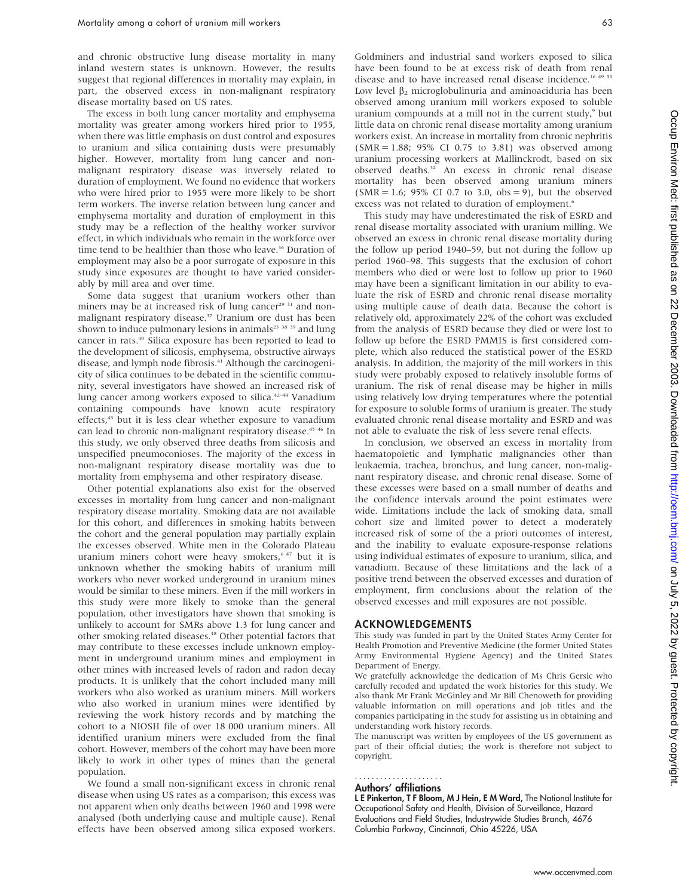and chronic obstructive lung disease mortality in many inland western states is unknown. However, the results suggest that regional differences in mortality may explain, in part, the observed excess in non-malignant respiratory disease mortality based on US rates.

The excess in both lung cancer mortality and emphysema mortality was greater among workers hired prior to 1955, when there was little emphasis on dust control and exposures to uranium and silica containing dusts were presumably higher. However, mortality from lung cancer and nonmalignant respiratory disease was inversely related to duration of employment. We found no evidence that workers who were hired prior to 1955 were more likely to be short term workers. The inverse relation between lung cancer and emphysema mortality and duration of employment in this study may be a reflection of the healthy worker survivor effect, in which individuals who remain in the workforce over time tend to be healthier than those who leave.<sup>36</sup> Duration of employment may also be a poor surrogate of exposure in this study since exposures are thought to have varied considerably by mill area and over time.

Some data suggest that uranium workers other than miners may be at increased risk of lung cancer<sup>29 31</sup> and nonmalignant respiratory disease.<sup>37</sup> Uranium ore dust has been shown to induce pulmonary lesions in animals<sup>23</sup> 38 39 and lung cancer in rats.40 Silica exposure has been reported to lead to the development of silicosis, emphysema, obstructive airways disease, and lymph node fibrosis.<sup>41</sup> Although the carcinogenicity of silica continues to be debated in the scientific community, several investigators have showed an increased risk of lung cancer among workers exposed to silica.<sup>42–44</sup> Vanadium containing compounds have known acute respiratory effects,<sup>45</sup> but it is less clear whether exposure to vanadium can lead to chronic non-malignant respiratory disease.<sup>45 46</sup> In this study, we only observed three deaths from silicosis and unspecified pneumoconioses. The majority of the excess in non-malignant respiratory disease mortality was due to mortality from emphysema and other respiratory disease.

Other potential explanations also exist for the observed excesses in mortality from lung cancer and non-malignant respiratory disease mortality. Smoking data are not available for this cohort, and differences in smoking habits between the cohort and the general population may partially explain the excesses observed. White men in the Colorado Plateau uranium miners cohort were heavy smokers,<sup>6 47</sup> but it is unknown whether the smoking habits of uranium mill workers who never worked underground in uranium mines would be similar to these miners. Even if the mill workers in this study were more likely to smoke than the general population, other investigators have shown that smoking is unlikely to account for SMRs above 1.3 for lung cancer and other smoking related diseases.<sup>48</sup> Other potential factors that may contribute to these excesses include unknown employment in underground uranium mines and employment in other mines with increased levels of radon and radon decay products. It is unlikely that the cohort included many mill workers who also worked as uranium miners. Mill workers who also worked in uranium mines were identified by reviewing the work history records and by matching the cohort to a NIOSH file of over 18 000 uranium miners. All identified uranium miners were excluded from the final cohort. However, members of the cohort may have been more likely to work in other types of mines than the general population.

We found a small non-significant excess in chronic renal disease when using US rates as a comparison; this excess was not apparent when only deaths between 1960 and 1998 were analysed (both underlying cause and multiple cause). Renal effects have been observed among silica exposed workers.

Goldminers and industrial sand workers exposed to silica have been found to be at excess risk of death from renal disease and to have increased renal disease incidence.<sup>16 49 50</sup> Low level  $\beta_2$  microglobulinuria and aminoaciduria has been observed among uranium mill workers exposed to soluble uranium compounds at a mill not in the current study,<sup>9</sup> but little data on chronic renal disease mortality among uranium workers exist. An increase in mortality from chronic nephritis  $(SMR = 1.88; 95\% \text{ CI } 0.75 \text{ to } 3.81)$  was observed among uranium processing workers at Mallinckrodt, based on six observed deaths.32 An excess in chronic renal disease mortality has been observed among uranium miners  $(SMR = 1.6; 95\% \text{ CI } 0.7 \text{ to } 3.0, \text{ obs} = 9)$ , but the observed excess was not related to duration of employment.<sup>6</sup>

This study may have underestimated the risk of ESRD and renal disease mortality associated with uranium milling. We observed an excess in chronic renal disease mortality during the follow up period 1940–59, but not during the follow up period 1960–98. This suggests that the exclusion of cohort members who died or were lost to follow up prior to 1960 may have been a significant limitation in our ability to evaluate the risk of ESRD and chronic renal disease mortality using multiple cause of death data. Because the cohort is relatively old, approximately 22% of the cohort was excluded from the analysis of ESRD because they died or were lost to follow up before the ESRD PMMIS is first considered complete, which also reduced the statistical power of the ESRD analysis. In addition, the majority of the mill workers in this study were probably exposed to relatively insoluble forms of uranium. The risk of renal disease may be higher in mills using relatively low drying temperatures where the potential for exposure to soluble forms of uranium is greater. The study evaluated chronic renal disease mortality and ESRD and was not able to evaluate the risk of less severe renal effects.

In conclusion, we observed an excess in mortality from haematopoietic and lymphatic malignancies other than leukaemia, trachea, bronchus, and lung cancer, non-malignant respiratory disease, and chronic renal disease. Some of these excesses were based on a small number of deaths and the confidence intervals around the point estimates were wide. Limitations include the lack of smoking data, small cohort size and limited power to detect a moderately increased risk of some of the a priori outcomes of interest, and the inability to evaluate exposure-response relations using individual estimates of exposure to uranium, silica, and vanadium. Because of these limitations and the lack of a positive trend between the observed excesses and duration of employment, firm conclusions about the relation of the observed excesses and mill exposures are not possible.

#### ACKNOWLEDGEMENTS

This study was funded in part by the United States Army Center for Health Promotion and Preventive Medicine (the former United States Army Environmental Hygiene Agency) and the United States Department of Energy.

We gratefully acknowledge the dedication of Ms Chris Gersic who carefully recoded and updated the work histories for this study. We also thank Mr Frank McGinley and Mr Bill Chenoweth for providing valuable information on mill operations and job titles and the companies participating in the study for assisting us in obtaining and understanding work history records.

The manuscript was written by employees of the US government as part of their official duties; the work is therefore not subject to copyright.

#### Authors' affiliations .....................

L E Pinkerton, T F Bloom, M J Hein, E M Ward, The National Institute for Occupational Safety and Health, Division of Surveillance, Hazard Evaluations and Field Studies, Industrywide Studies Branch, 4676 Columbia Parkway, Cincinnati, Ohio 45226, USA